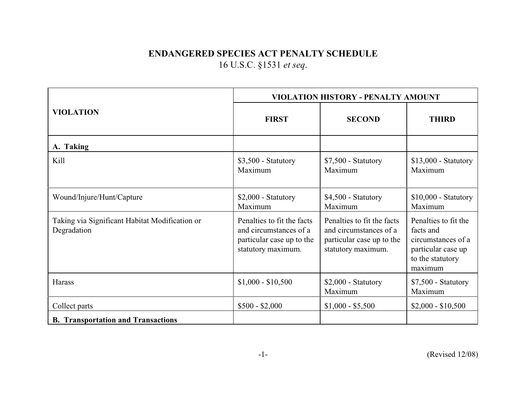| <b>VIOLATION</b>                                              | VIOLATION HISTORY - PENALTY AMOUNT                                                                      |                                                                                                         |                                                                                                              |
|---------------------------------------------------------------|---------------------------------------------------------------------------------------------------------|---------------------------------------------------------------------------------------------------------|--------------------------------------------------------------------------------------------------------------|
|                                                               | <b>FIRST</b>                                                                                            | <b>SECOND</b>                                                                                           | <b>THIRD</b>                                                                                                 |
| A. Taking                                                     |                                                                                                         |                                                                                                         |                                                                                                              |
| Kill                                                          | $$3,500$ - Statutory<br>Maximum                                                                         | $$7,500$ - Statutory<br>Maximum                                                                         | $$13,000$ - Statutory<br>Maximum                                                                             |
| Wound/Injure/Hunt/Capture                                     | $$2,000$ - Statutory<br>Maximum                                                                         | \$4,500 - Statutory<br>Maximum                                                                          | \$10,000 - Statutory<br>Maximum                                                                              |
| Taking via Significant Habitat Modification or<br>Degradation | Penalties to fit the facts<br>and circumstances of a<br>particular case up to the<br>statutory maximum. | Penalties to fit the facts<br>and circumstances of a<br>particular case up to the<br>statutory maximum. | Penalties to fit the<br>facts and<br>circumstances of a<br>particular case up<br>to the statutory<br>maximum |
| Harass                                                        | $$1,000 - $10,500$                                                                                      | $$2,000$ - Statutory<br>Maximum                                                                         | $$7,500$ - Statutory<br>Maximum                                                                              |
| Collect parts                                                 | $$500 - $2,000$                                                                                         | $$1,000 - $5,500$                                                                                       | $$2,000 - $10,500$                                                                                           |
| <b>B.</b> Transportation and Transactions                     |                                                                                                         |                                                                                                         |                                                                                                              |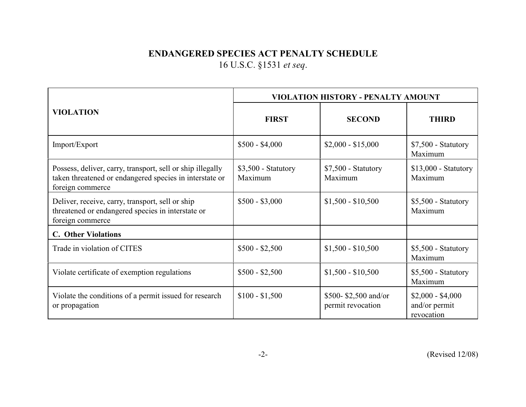|                                                                                                                                           | VIOLATION HISTORY - PENALTY AMOUNT |                                           |                                                  |
|-------------------------------------------------------------------------------------------------------------------------------------------|------------------------------------|-------------------------------------------|--------------------------------------------------|
| <b>VIOLATION</b>                                                                                                                          | <b>FIRST</b>                       | <b>SECOND</b>                             | <b>THIRD</b>                                     |
| Import/Export                                                                                                                             | $$500 - $4,000$                    | $$2,000 - $15,000$                        | $$7,500$ - Statutory<br>Maximum                  |
| Possess, deliver, carry, transport, sell or ship illegally<br>taken threatened or endangered species in interstate or<br>foreign commerce | $$3,500$ - Statutory<br>Maximum    | $$7,500$ - Statutory<br>Maximum           | $$13,000$ - Statutory<br>Maximum                 |
| Deliver, receive, carry, transport, sell or ship<br>threatened or endangered species in interstate or<br>foreign commerce                 | $$500 - $3,000$                    | $$1,500 - $10,500$                        | \$5,500 - Statutory<br>Maximum                   |
| <b>C.</b> Other Violations                                                                                                                |                                    |                                           |                                                  |
| Trade in violation of CITES                                                                                                               | $$500 - $2,500$                    | $$1,500 - $10,500$                        | $$5,500$ - Statutory<br>Maximum                  |
| Violate certificate of exemption regulations                                                                                              | $$500 - $2,500$                    | $$1,500 - $10,500$                        | \$5,500 - Statutory<br>Maximum                   |
| Violate the conditions of a permit issued for research<br>or propagation                                                                  | $$100 - $1,500$                    | \$500-\$2,500 and/or<br>permit revocation | $$2,000 - $4,000$<br>and/or permit<br>revocation |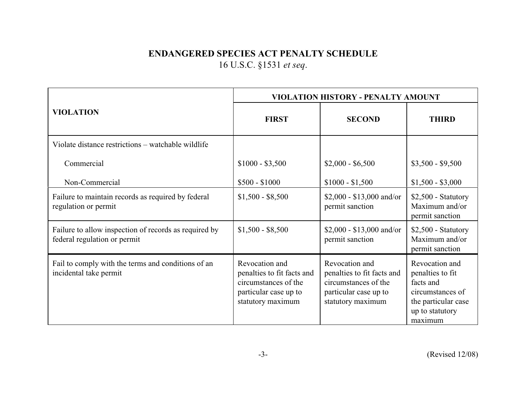|                                                                                       | VIOLATION HISTORY - PENALTY AMOUNT                                                                                 |                                                                                                                    |                                                                                                                          |
|---------------------------------------------------------------------------------------|--------------------------------------------------------------------------------------------------------------------|--------------------------------------------------------------------------------------------------------------------|--------------------------------------------------------------------------------------------------------------------------|
| <b>VIOLATION</b>                                                                      | <b>FIRST</b>                                                                                                       | <b>SECOND</b>                                                                                                      | <b>THIRD</b>                                                                                                             |
| Violate distance restrictions – watchable wildlife                                    |                                                                                                                    |                                                                                                                    |                                                                                                                          |
| Commercial                                                                            | $$1000 - $3,500$                                                                                                   | $$2,000 - $6,500$                                                                                                  | $$3,500 - $9,500$                                                                                                        |
| Non-Commercial                                                                        | $$500 - $1000$                                                                                                     | $$1000 - $1,500$                                                                                                   | $$1,500 - $3,000$                                                                                                        |
| Failure to maintain records as required by federal<br>regulation or permit            | $$1,500 - $8,500$                                                                                                  | $$2,000 - $13,000$ and/or<br>permit sanction                                                                       | \$2,500 - Statutory<br>Maximum and/or<br>permit sanction                                                                 |
| Failure to allow inspection of records as required by<br>federal regulation or permit | $$1,500 - $8,500$                                                                                                  | $$2,000 - $13,000$ and/or<br>permit sanction                                                                       | \$2,500 - Statutory<br>Maximum and/or<br>permit sanction                                                                 |
| Fail to comply with the terms and conditions of an<br>incidental take permit          | Revocation and<br>penalties to fit facts and<br>circumstances of the<br>particular case up to<br>statutory maximum | Revocation and<br>penalties to fit facts and<br>circumstances of the<br>particular case up to<br>statutory maximum | Revocation and<br>penalties to fit<br>facts and<br>circumstances of<br>the particular case<br>up to statutory<br>maximum |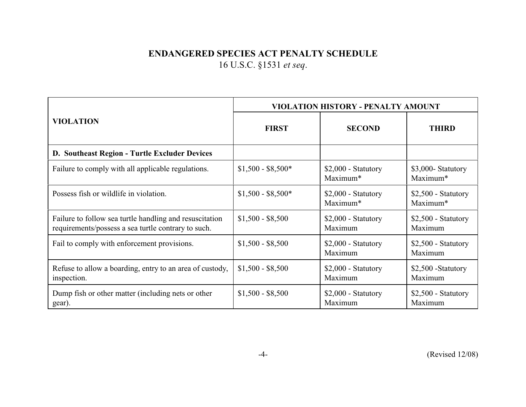|                                                                                                                | VIOLATION HISTORY - PENALTY AMOUNT |                                  |                                  |
|----------------------------------------------------------------------------------------------------------------|------------------------------------|----------------------------------|----------------------------------|
| <b>VIOLATION</b>                                                                                               | <b>FIRST</b>                       | <b>SECOND</b>                    | <b>THIRD</b>                     |
| D. Southeast Region - Turtle Excluder Devices                                                                  |                                    |                                  |                                  |
| Failure to comply with all applicable regulations.                                                             | $$1,500 - $8,500*$                 | $$2,000$ - Statutory<br>Maximum* | \$3,000-Statutory<br>Maximum*    |
| Possess fish or wildlife in violation.                                                                         | $$1,500 - $8,500*$                 | $$2,000$ - Statutory<br>Maximum* | $$2,500$ - Statutory<br>Maximum* |
| Failure to follow sea turtle handling and resuscitation<br>requirements/possess a sea turtle contrary to such. | $$1,500 - $8,500$                  | $$2,000$ - Statutory<br>Maximum  | $$2,500$ - Statutory<br>Maximum  |
| Fail to comply with enforcement provisions.                                                                    | $$1,500 - $8,500$                  | \$2,000 - Statutory<br>Maximum   | $$2,500$ - Statutory<br>Maximum  |
| Refuse to allow a boarding, entry to an area of custody,<br>inspection.                                        | $$1,500 - $8,500$                  | \$2,000 - Statutory<br>Maximum   | \$2,500 - Statutory<br>Maximum   |
| Dump fish or other matter (including nets or other<br>gear).                                                   | $$1,500 - $8,500$                  | \$2,000 - Statutory<br>Maximum   | $$2,500$ - Statutory<br>Maximum  |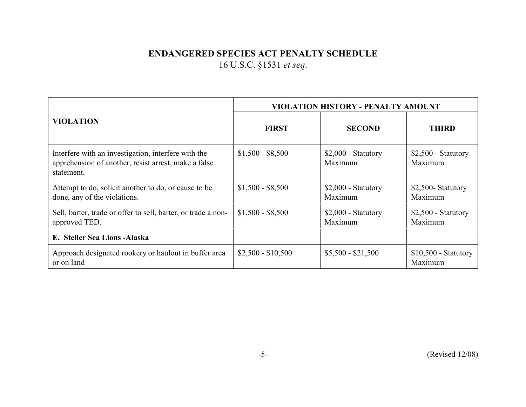|                                                                                                                           | VIOLATION HISTORY - PENALTY AMOUNT |                                 |                                  |
|---------------------------------------------------------------------------------------------------------------------------|------------------------------------|---------------------------------|----------------------------------|
| <b>VIOLATION</b>                                                                                                          | <b>FIRST</b>                       | <b>SECOND</b>                   | <b>THIRD</b>                     |
| Interfere with an investigation, interfere with the<br>apprehension of another, resist arrest, make a false<br>statement. | $$1,500 - $8,500$                  | $$2,000$ - Statutory<br>Maximum | $$2,500$ - Statutory<br>Maximum  |
| Attempt to do, solicit another to do, or cause to be<br>done, any of the violations.                                      | $$1,500 - $8,500$                  | $$2,000$ - Statutory<br>Maximum | \$2,500-Statutory<br>Maximum     |
| Sell, barter, trade or offer to sell, barter, or trade a non-<br>approved TED.                                            | $$1,500 - $8,500$                  | $$2,000$ - Statutory<br>Maximum | $$2,500$ - Statutory<br>Maximum  |
| E. Steller Sea Lions - Alaska                                                                                             |                                    |                                 |                                  |
| Approach designated rookery or haulout in buffer area<br>or on land                                                       | $$2,500 - $10,500$                 | $$5,500 - $21,500$              | $$10,500$ - Statutory<br>Maximum |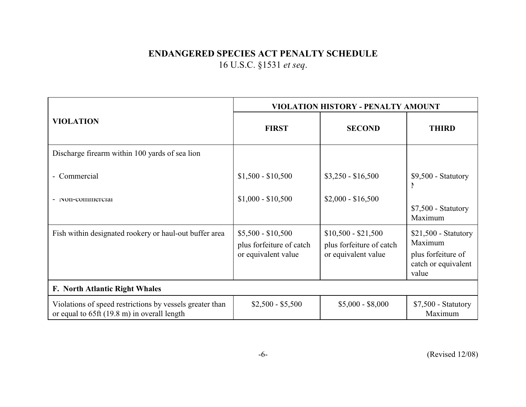|                                                                                                         | <b>VIOLATION HISTORY - PENALTY AMOUNT</b>                             |                                                                        |                                                                                        |
|---------------------------------------------------------------------------------------------------------|-----------------------------------------------------------------------|------------------------------------------------------------------------|----------------------------------------------------------------------------------------|
| <b>VIOLATION</b>                                                                                        | <b>FIRST</b>                                                          | <b>SECOND</b>                                                          | <b>THIRD</b>                                                                           |
| Discharge firearm within 100 yards of sea lion                                                          |                                                                       |                                                                        |                                                                                        |
| - Commercial                                                                                            | $$1,500 - $10,500$                                                    | $$3,250 - $16,500$                                                     | $$9,500$ - Statutory<br>ľ                                                              |
| - Non-commercial                                                                                        | $$1,000 - $10,500$                                                    | $$2,000 - $16,500$                                                     | $$7,500$ - Statutory<br>Maximum                                                        |
| Fish within designated rookery or haul-out buffer area                                                  | $$5,500 - $10,500$<br>plus forfeiture of catch<br>or equivalent value | $$10,500 - $21,500$<br>plus forfeiture of catch<br>or equivalent value | $$21,500$ - Statutory<br>Maximum<br>plus forfeiture of<br>catch or equivalent<br>value |
| F. North Atlantic Right Whales                                                                          |                                                                       |                                                                        |                                                                                        |
| Violations of speed restrictions by vessels greater than<br>or equal to 65ft (19.8 m) in overall length | $$2,500 - $5,500$                                                     | $$5,000 - $8,000$                                                      | \$7,500 - Statutory<br>Maximum                                                         |

-6- (Revised 12/08)